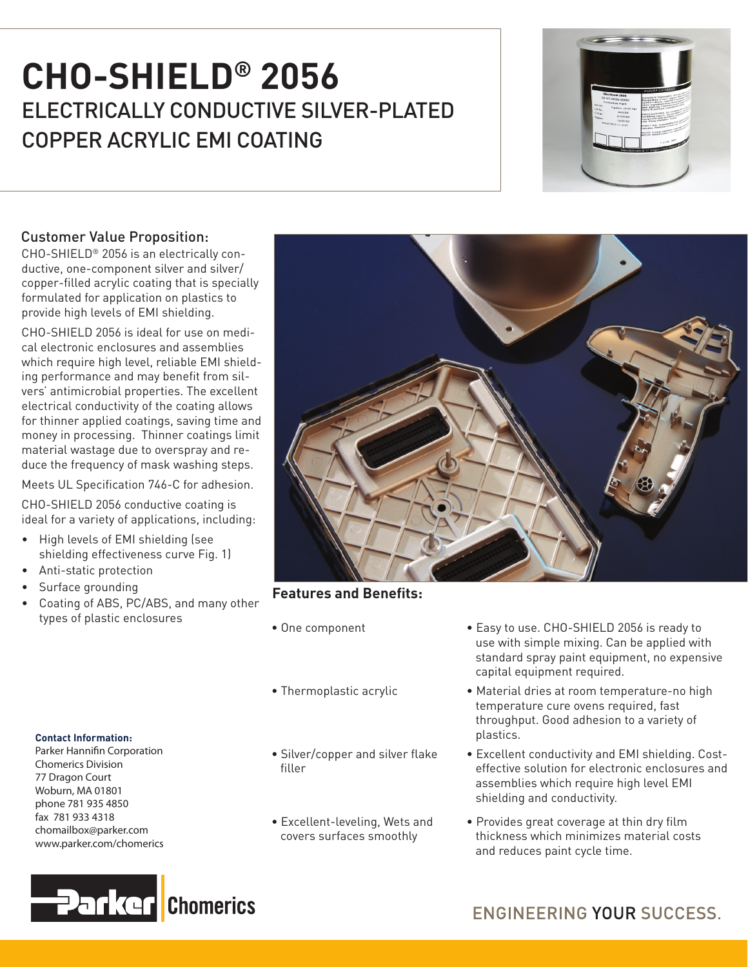# ELECTRICALLY CONDUCTIVE SILVER-PLATED COPPER ACRYLIC EMI COATING **CHO-SHIELD® 2056**



## Customer Value Proposition:

CHO-SHIELD® 2056 is an electrically conductive, one-component silver and silver/ copper-filled acrylic coating that is specially formulated for application on plastics to provide high levels of EMI shielding.

CHO-SHIELD 2056 is ideal for use on medical electronic enclosures and assemblies which require high level, reliable EMI shielding performance and may benefit from silvers' antimicrobial properties. The excellent electrical conductivity of the coating allows for thinner applied coatings, saving time and money in processing. Thinner coatings limit material wastage due to overspray and reduce the frequency of mask washing steps.

Meets UL Specification 746-C for adhesion.

CHO-SHIELD 2056 conductive coating is ideal for a variety of applications, including:

- • High levels of EMI shielding (see shielding effectiveness curve Fig. 1)
- • Anti-static protection
- • Surface grounding
- • Coating of ABS, PC/ABS, and many other types of plastic enclosures

#### **Contact Information:**

Parker Hannifin Corporation Chomerics Division 77 Dragon Court Woburn, MA 01801 phone 781 935 4850 fax 781 933 4318 chomailbox@parker.com www.parker.com/chomerics





## **Features and Benefits:**

- 
- 
- Silver/copper and silver flake filler
- Excellent-leveling, Wets and covers surfaces smoothly
- One component Easy to use. CHO-SHIELD 2056 is ready to use with simple mixing. Can be applied with standard spray paint equipment, no expensive capital equipment required.
- Thermoplastic acrylic Material dries at room temperature-no high temperature cure ovens required, fast throughput. Good adhesion to a variety of plastics.
	- Excellent conductivity and EMI shielding. Cost effective solution for electronic enclosures and assemblies which require high level EMI shielding and conductivity.
	- Provides great coverage at thin dry film thickness which minimizes material costs and reduces paint cycle time.

## **ENGINEERING YOUR SUCCESS.**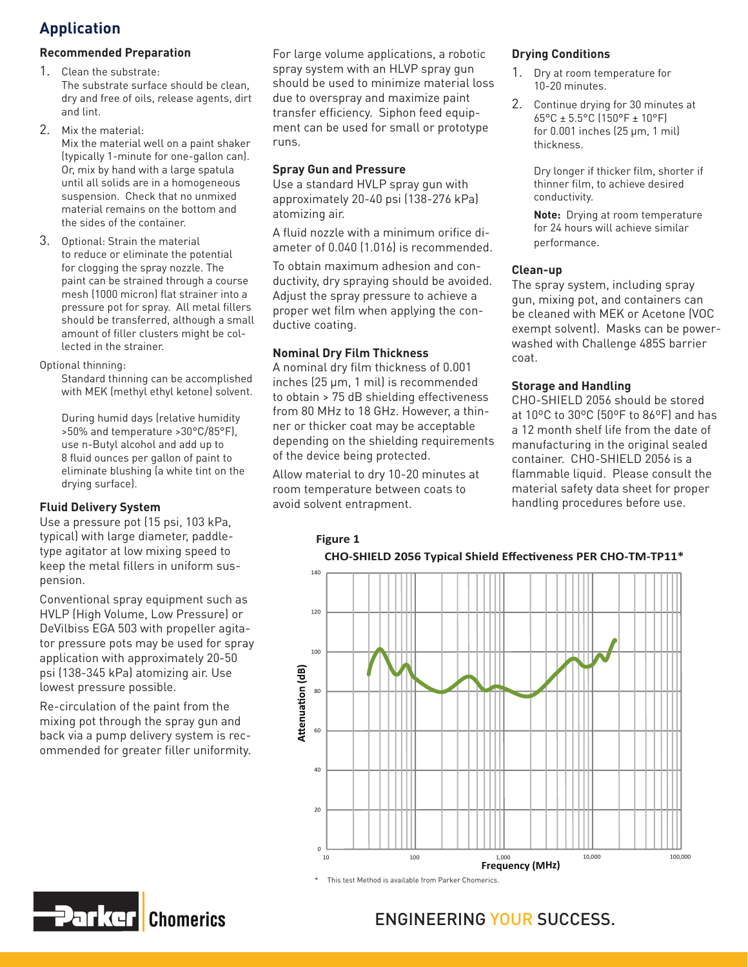## **Application**

#### **Recommended Preparation**

- 1. Clean the substrate: The substrate surface should be clean, dry and free of oils, release agents, dirt and lint.
- 2. Mix the material:

Mix the material well on a paint shaker (typically 1-minute for one-gallon can). Or, mix by hand with a large spatula until all solids are in a homogeneous suspension. Check that no unmixed material remains on the bottom and the sides of the container.

3. Optional: Strain the material to reduce or eliminate the potential for clogging the spray nozzle. The paint can be strained through a course mesh (1000 micron) flat strainer into a pressure pot for spray. All metal fillers should be transferred, although a small amount of filler clusters might be collected in the strainer.

#### Optional thinning:

Standard thinning can be accomplished with MEK (methyl ethyl ketone) solvent.

During humid days (relative humidity >50% and temperature >30°C/85°F), use n-Butyl alcohol and add up to 8 fluid ounces per gallon of paint to eliminate blushing (a white tint on the drying surface).

#### **Fluid Delivery System**

Use a pressure pot (15 psi, 103 kPa, typical) with large diameter, paddletype agitator at low mixing speed to keep the metal fillers in uniform suspension.

Conventional spray equipment such as HVLP (High Volume, Low Pressure) or DeVilbiss EGA 503 with propeller agitator pressure pots may be used for spray application with approximately 20-50 psi (138-345 kPa) atomizing air. Use lowest pressure possible.

Re-circulation of the paint from the mixing pot through the spray gun and back via a pump delivery system is recommended for greater filler uniformity.

For large volume applications, a robotic spray system with an HLVP spray gun should be used to minimize material loss due to overspray and maximize paint transfer efficiency. Siphon feed equipment can be used for small or prototype runs.

#### **Spray Gun and Pressure**

Use a standard HVLP spray gun with approximately 20-40 psi (138-276 kPa) atomizing air.

A fluid nozzle with a minimum orifice diameter of 0.040 (1.016) is recommended.

To obtain maximum adhesion and conductivity, dry spraying should be avoided. Adjust the spray pressure to achieve a proper wet film when applying the conductive coating.

#### **Nominal Dry Film Thickness**

**Figure 1**

A nominal dry film thickness of 0.001 inches (25 µm, 1 mil) is recommended to obtain > 75 dB shielding effectiveness from 80 MHz to 18 GHz. However, a thinner or thicker coat may be acceptable depending on the shielding requirements of the device being protected.

Allow material to dry 10-20 minutes at room temperature between coats to avoid solvent entrapment.

#### **Drying Conditions**

- 1. Dry at room temperature for 10-20 minutes.
- 2. Continue drying for 30 minutes at 65°C ± 5.5°C (150°F ± 10°F) for 0.001 inches (25 µm, 1 mil) thickness.

Dry longer if thicker film, shorter if thinner film, to achieve desired conductivity.

**Note:** Drying at room temperature for 24 hours will achieve similar performance.

#### **Clean-up**

The spray system, including spray gun, mixing pot, and containers can be cleaned with MEK or Acetone (VOC exempt solvent). Masks can be powerwashed with Challenge 485S barrier coat.

#### **Storage and Handling**

CHO-SHIELD 2056 should be stored at 10ºC to 30ºC (50ºF to 86ºF) and has a 12 month shelf life from the date of manufacturing in the original sealed container. CHO-SHIELD 2056 is a flammable liquid. Please consult the material safety data sheet for proper handling procedures before use.



#### **CHO-SHIELD 2056 Typical Shield Effectiveness PER CHO-TM-TP11\***